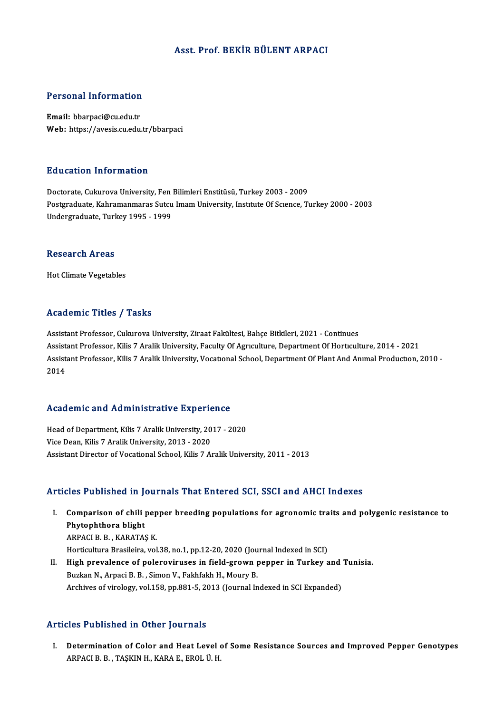#### Asst. Prof. BEKİR BÜLENT ARPACI

# Personal Information

Personal Information<br>Email: bbarpaci@cu.edu.tr<br>Web: https://avesis.cu.edu. Email: bbarpaci@cu.edu.tr<br>Web: https://avesis.cu.edu.tr/bbarpaci

#### Education Information

Doctorate, Cukurova University, Fen Bilimleri Enstitüsü, Turkey 2003 - 2009 Postgraduate, Kahramanmaras Sutcu Imam University, Institute Of Science, Turkey 2000 - 2003 Undergraduate, Turkey 1995 - 1999

#### **Research Areas**

Hot Climate Vegetables

#### Academic Titles / Tasks

Assistant Professor, Cukurova University, Ziraat Fakültesi, Bahçe Bitkileri, 2021 - Continues Assistant Professor, Cukurova University, Ziraat Fakültesi, Bahçe Bitkileri, 2021 - Continues<br>Assistant Professor, Kilis 7 Aralik University, Faculty Of Agrıculture, Department Of Horticulture, 2014 - 2021<br>Assistant Profes Assistant Professor, Cukurova University, Ziraat Fakültesi, Bahçe Bitkileri, 2021 - Continues<br>Assistant Professor, Kilis 7 Aralik University, Faculty Of Agrıculture, Department Of Horticulture, 2014 - 2021<br>Assistant Profes Assist<br>Assist<br>2014

## Academic and Administrative Experience

Academic and Administrative Experience<br>Head of Department, Kilis 7 Aralik University, 2017 - 2020<br>Vise Dean Kilis 7 Aralik University, 2013 - 2020 Head of Department, Kilis 7 Aralik University, 20<br>Vice Dean, Kilis 7 Aralik University, 2013 - 2020<br>Assistant Director of Vesstional School, Kilis 7, A Vice Dean, Kilis 7 Aralik University, 2013 - 2020<br>Assistant Director of Vocational School, Kilis 7 Aralik University, 2011 - 2013

#### Articles Published in Journals That Entered SCI, SSCI and AHCI Indexes

rticles Published in Journals That Entered SCI, SSCI and AHCI Indexes<br>I. Comparison of chili pepper breeding populations for agronomic traits and polygenic resistance to<br>Rhytenhthers blight Comparison of chili<br>Phytophthora blight<br>APPACLE E KAPATAS Comparison of chili pep<br>Phytophthora blight<br>ARPACI B.B. , KARATAŞ K.<br>Hortiqultura Pracilaira vol Phytophthora blight<br>ARPACI B. B. , KARATAŞ K.<br>Horticultura Brasileira, vol.38, no.1, pp.12-20, 2020 (Journal Indexed in SCI)<br>High prevalence of polerevinuses in field grown penner in Turkey a

ARPACI B. B. , KARATAŞ K.<br>Horticultura Brasileira, vol.38, no.1, pp.12-20, 2020 (Journal Indexed in SCI)<br>II. High prevalence of poleroviruses in field-grown pepper in Turkey and Tunisia.<br>Buzkan N., Arpaci B. B. , Simon V., Horticultura Brasileira, vol.38, no.1, pp.12-20, 2020 (Jou<br>High prevalence of poleroviruses in field-grown p<br>Buzkan N., Arpaci B. B. , Simon V., Fakhfakh H., Moury B.<br>Arshives of virolegy vol.159, np.991.5, 2013 (Journal I Archives of virology, vol.158, pp.881-5, 2013 (Journal Indexed in SCI Expanded)

#### Articles Published in Other Journals

rticles Published in Other Journals<br>I. Determination of Color and Heat Level of Some Resistance Sources and Improved Pepper Genotypes<br>APPACLE B. TASVIN H. VARA E. EROL Ü.H. ARPACI B.B., TAŞKIN H., KARA E., EROL Ü. H.<br>ARPACI B.B., TAŞKIN H., KARA E., EROL Ü. H.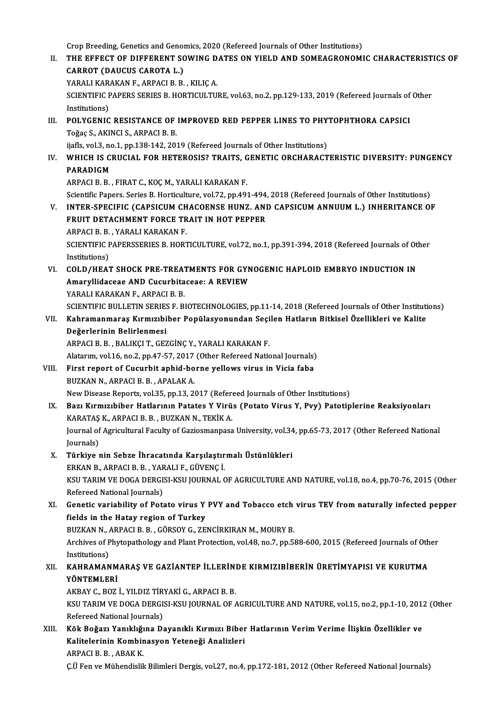Crop Breeding, Genetics and Genomics, 2020 (Refereed Journals of Other Institutions)

Crop Breeding, Genetics and Genomics, 2020 (Refereed Journals of Other Institutions)<br>II. THE EFFECT OF DIFFERENT SOWING DATES ON YIELD AND SOMEAGRONOMIC CHARACTERISTICS OF Crop Breeding, Genetics and Genor<br>THE EFFECT OF DIFFERENT SO<br>CARROT (DAUCUS CAROTA L.)<br>YARALLKARAKAN E ARRACLE P THE EFFECT OF DIFFERENT SOWING D<br>CARROT (DAUCUS CAROTA L.)<br>YARALI KARAKAN F., ARPACI B. B. , KILIÇ A.<br>SCIENTIEIC BARERS SERIES B. HOPTICULTU CARROT (DAUCUS CAROTA L.)<br>YARALI KARAKAN F., ARPACI B. B. , KILIÇ A.<br>SCIENTIFIC PAPERS SERIES B. HORTICULTURE, vol.63, no.2, pp.129-133, 2019 (Refereed Journals of Other<br>Institutions) YARALI KARAKAN F., ARPACI B. B., KILIÇ A. SCIENTIFIC PAPERS SERIES B. HORTICULTURE, vol.63, no.2, pp.129-133, 2019 (Refereed Journals of Institutions)<br>III. POLYGENIC RESISTANCE OF IMPROVED RED PEPPER LINES TO PHYTOPHTHORA CAPSICI<br>Tožes S. AKINCI S. APPACI P. P. Institutions)<br>POLYGENIC RESISTANCE OF<br>Toğaç S., AKINCI S., ARPACI B. B.<br>iiafla val 3-no 1-nn 128-142-201 POLYGENIC RESISTANCE OF IMPROVED RED PEPPER LINES TO PHY<br>Toğaç S., AKINCI S., ARPACI B. B.<br>ijafls, vol.3, no.1, pp.138-142, 2019 (Refereed Journals of Other Institutions)<br>WHICH IS CRIICIAL FOR HETEROSIS2 TRAITS, CENETIC OR Toğaç S., AKINCI S., ARPACI B. B.<br>ijafls, vol.3, no.1, pp.138-142, 2019 (Refereed Journals of Other Institutions)<br>IV. WHICH IS CRUCIAL FOR HETEROSIS? TRAITS, GENETIC ORCHARACTERISTIC DIVERSITY: PUNGENCY<br>BARADICM ijafls, vol.3, no.1, pp.138-142, 2019 (Refereed Journals of Other Institutions)<br>WHICH IS CRUCIAL FOR HETEROSIS? TRAITS, GENETIC ORCHARACT<br>PARADIGM<br>ARPACI B. B. , FIRAT C., KOC M., YARALI KARAKAN F. WHICH IS CRUCIAL FOR HETEROSIS? TRAITS, G<br>PARADIGM<br>ARPACI B. B. , FIRAT C., KOÇ M., YARALI KARAKAN F.<br>Scientific Peners, Series B. Herticulture, vel 72, np.49; Scientific Papers. Series B. Horticulture, vol.72, pp.491-494, 2018 (Refereed Journals of Other Institutions) ARPACI B. B. , FIRAT C., KOÇ M., YARALI KARAKAN F.<br>Scientific Papers. Series B. Horticulture, vol.72, pp.491-494, 2018 (Refereed Journals of Other Institutions)<br>V. INTER-SPECIFIC (CAPSICUM CHACOENSE HUNZ. AND CAPSICUM ANNU Scientific Papers. Series B. Horticulture, vol.72, pp.491-494,<br>INTER-SPECIFIC (CAPSICUM CHACOENSE HUNZ. ANI<br>FRUIT DETACHMENT FORCE TRAIT IN HOT PEPPER<br>APPACI B. B. VARALLYARAKANE INTER-SPECIFIC (CAPSICUM CH<br>FRUIT DETACHMENT FORCE TR<br>ARPACI B. B. , YARALI KARAKAN F.<br>SCIENTIEIC BARERSSERIES B. HORT FRUIT DETACHMENT FORCE TRAIT IN HOT PEPPER<br>ARPACI B. B. , YARALI KARAKAN F.<br>SCIENTIFIC PAPERSSERIES B. HORTICULTURE, vol.72, no.1, pp.391-394, 2018 (Refereed Journals of Other<br>Institutions) ARPACI B. B., YARALI KARAKAN F. VI. COLD/HEAT SHOCK PRE-TREATMENTS FOR GYNOGENIC HAPLOID EMBRYO INDUCTION IN Institutions)<br>COLD/HEAT SHOCK PRE-TREATMENTS FOR GYN<br>Amaryllidaceae AND Cucurbitaceae: A REVIEW<br>YARALLKARAKAN E APRACLE P COLD/HEAT SHOCK PRE-TREAT<br>Amaryllidaceae AND Cucurbita<br>YARALI KARAKAN F., ARPACI B. B.<br>SCIENTIEIC BIILLETIN SERIES E. B. YARALI KARAKAN F., ARPACI B. B.<br>SCIENTIFIC BULLETIN SERIES F. BIOTECHNOLOGIES, pp.11-14, 2018 (Refereed Journals of Other Institutions) YARALI KARAKAN F., ARPACI B. B.<br>SCIENTIFIC BULLETIN SERIES F. BIOTECHNOLOGIES, pp.11-14, 2018 (Refereed Journals of Other Instituti<br>VII. Kahramanmaraş Kırmızıbiber Popülasyonundan Seçilen Hatların Bitkisel Özellikleri SCIENTIFIC BULLETIN SERIES<br>Kahramanmaraş Kırmızıbi<br>Değerlerinin Belirlenmesi<br>APPACLE P. P. PALIKCLT. CEZ Kahramanmaraş Kırmızıbiber Popülasyonundan Seçi<br>Değerlerinin Belirlenmesi<br>ARPACI B. B. , BALIKÇI T., GEZGİNÇ Y., YARALI KARAKAN F.<br>Alatarım vol 16 no 2 nn 47 57 2017 (Other Pefereed Natio Değerlerinin Belirlenmesi<br>ARPACI B. B. , BALIKÇI T., GEZGİNÇ Y., YARALI KARAKAN F.<br>Alatarım, vol.16, no.2, pp.47-57, 2017 (Other Refereed National Journals)<br>First repert of Gusurbit ephid borne vellevys vinus in Visie febe ARPACI B. B., BALIKÇI T., GEZGİNÇ Y., YARALI KARAKAN F.<br>Alatarım, vol.16, no.2, pp.47-57, 2017 (Other Refereed National Journals)<br>VIII. First report of Cucurbit aphid-borne yellows virus in Vicia faba<br>BUZKAN N., ARPACI B. Alatarım, vol.16, no.2, pp.47-57, 2017<br>First report of Cucurbit aphid-bo<br>BUZKAN N., ARPACI B. B. , APALAK A.<br>Naw Disease Benerts vol.25, nn.12, 2 First report of Cucurbit aphid-borne yellows virus in Vicia faba<br>BUZKAN N., ARPACI B. B. , APALAK A.<br>New Disease Reports, vol.35, pp.13, 2017 (Refereed Journals of Other Institutions)<br>Pogy Kynmyshibor Hatlorunn Batates V V IX. Bazı Kırmızıbiber Hatlarının Patates Y Virüs (Potato Virus Y, Pvy) Patotiplerine Reaksiyonları New Disease Reports, vol.35, pp.13, 2017 (Referential Reports, vol.35, pp.13, 2017 (Referential Reports)<br>Bazı Kırmızıbiber Hatlarının Patates Y Virü<br>KARATAŞ K., ARPACI B. B. , BUZKAN N., TEKİK A. Bazı Kırmızıbiber Hatlarının Patates Y Virüs (Potato Virus Y, Pvy) Patotiplerine Reaksiyonları<br>KARATAŞ K., ARPACI B. B. , BUZKAN N., TEKİK A.<br>Journal of Agricultural Faculty of Gaziosmanpasa University, vol.34, pp.65-73, 2 KARATAŞ<br>Journal of<br>Journals)<br>Türkiye 1 Journal of Agricultural Faculty of Gaziosmanpasa University, vol.34<br>Journals)<br>X. Türkiye nin Sebze İhracatında Karşılaştırmalı Üstünlükleri<br>ERKAN B. ARRACLE B. VARALLE CÜVENCİ Journals)<br>Türkiye nin Sebze İhracatında Karşılaştır<br>ERKAN B., ARPACI B. B. , YARALI F., GÜVENÇİ.<br>KSU TARIM VE DOCA DERÇISI KSU JOURNAL G X. Türkiye nin Sebze İhracatında Karşılaştırmalı Üstünlükleri<br>ERKAN B., ARPACI B. B. , YARALI F., GÜVENÇ İ.<br>KSU TARIM VE DOGA DERGISI-KSU JOURNAL OF AGRICULTURE AND NATURE, vol.18, no.4, pp.70-76, 2015 (Other<br>Refereed Nati ERKAN B., ARPACI B. B. , YAR<br>KSU TARIM VE DOGA DERGI:<br>Refereed National Journals)<br>Constis variability of Bota KSU TARIM VE DOGA DERGISI-KSU JOURNAL OF AGRICULTURE AND NATURE, vol.18, no.4, pp.70-76, 2015 (Other<br>Refereed National Journals)<br>XI. Genetic variability of Potato virus Y PVY and Tobacco etch virus TEV from naturally infec Refereed National Journals)<br>Genetic variability of Potato virus Y<br>fields in the Hatay region of Turkey<br>PUZKAN N. APPACLE B. CÖPSOV G. ZE Genetic variability of Potato virus Y PVY and Tobacco etch<br>fields in the Hatay region of Turkey<br>BUZKAN N., ARPACI B. B. , GÖRSOY G., ZENCİRKIRAN M., MOURY B.<br>Archives of Phytopathology and Plant Protection vel 48, no 7, np fields in the Hatay region of Turkey<br>BUZKAN N., ARPACI B. B. , GÖRSOY G., ZENCİRKIRAN M., MOURY B.<br>Archives of Phytopathology and Plant Protection, vol.48, no.7, pp.588-600, 2015 (Refereed Journals of Other<br>Institutions) BUZKAN N., A<br>Archives of P<br>Institutions)<br>KAHPAMAN Archives of Phytopathology and Plant Protection, vol.48, no.7, pp.588-600, 2015 (Refereed Journals of Oth<br>Institutions)<br>XII. KAHRAMANMARAŞ VE GAZİANTEP İLLERİNDE KIRMIZIBİBERİN ÜRETİMYAPISI VE KURUTMA<br>VÖNTEMI ERİ Institutions)<br>KAHRAMANM<br>YÖNTEMLERİ<br>AKRAY C. BOZ KAHRAMANMARAŞ VE GAZİANTEP İLLERİNI<br>YÖNTEMLERİ<br>AKBAY C., BOZ İ., YILDIZ TİRYAKİ G., ARPACI B. B.<br>KSU TARIM VE DOCA DERÇISI KSU JOURNAL OF / YÖNTEMLERİ<br>AKBAY C., BOZ İ., YILDIZ TİRYAKİ G., ARPACI B. B.<br>KSU TARIM VE DOGA DERGISI-KSU JOURNAL OF AGRICULTURE AND NATURE, vol.15, no.2, pp.1-10, 2012 (Other<br>Refereed National Jaurnale) AKBAY C., BOZ İ., YILDIZ TİR<br>KSU TARIM VE DOGA DERGI:<br>Refereed National Journals)<br>Köl: Božazı Yanıklıžına Da KSU TARIM VE DOGA DERGISI-KSU JOURNAL OF AGRICULTURE AND NATURE, vol.15, no.2, pp.1-10, 201:<br>Refereed National Journals)<br>XIII. Kök Boğazı Yanıklığına Dayanıklı Kırmızı Biber Hatlarının Verim Verime İlişkin Özellikler ve<br>Ka Refereed National Journals)<br>Kök Boğazı Yanıklığına Dayanıklı Kırmızı Biber<br>Kalitelerinin Kombinasyon Yeteneği Analizleri<br>APRACLE B. ABAK K Kök Boğazı Yanıklığı<br>Kalitelerinin Kombir<br>ARPACI B. B. , ABAK K.<br>Cü Fen ve Mühandiali Kalitelerinin Kombinasyon Yeteneği Analizleri<br>ARPACI B. B. , ABAK K.<br>Ç.Ü Fen ve Mühendislik Bilimleri Dergis, vol.27, no.4, pp.172-181, 2012 (Other Refereed National Journals)